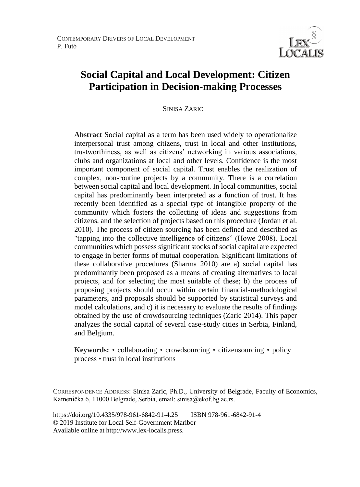

# **Social Capital and Local Development: Citizen Participation in Decision-making Processes**

#### SINISA ZARIC<sup>26</sup>

**Abstract** Social capital as a term has been used widely to operationalize interpersonal trust among citizens, trust in local and other institutions, trustworthiness, as well as citizens' networking in various associations, clubs and organizations at local and other levels. Confidence is the most important component of social capital. Trust enables the realization of complex, non-routine projects by a community. There is a correlation between social capital and local development. In local communities, social capital has predominantly been interpreted as a function of trust. It has recently been identified as a special type of intangible property of the community which fosters the collecting of ideas and suggestions from citizens, and the selection of projects based on this procedure (Jordan et al. 2010). The process of citizen sourcing has been defined and described as "tapping into the collective intelligence of citizens" (Howe 2008). Local communities which possess significant stocks of social capital are expected to engage in better forms of mutual cooperation. Significant limitations of these collaborative procedures (Sharma 2010) are a) social capital has predominantly been proposed as a means of creating alternatives to local projects, and for selecting the most suitable of these; b) the process of proposing projects should occur within certain financial-methodological parameters, and proposals should be supported by statistical surveys and model calculations, and c) it is necessary to evaluate the results of findings obtained by the use of crowdsourcing techniques (Zaric 2014). This paper analyzes the social capital of several case-study cities in Serbia, Finland, and Belgium.

**Keywords:** • collaborating • crowdsourcing • citizensourcing • policy process • trust in local institutions

 $\overline{a}$ 

CORRESPONDENCE ADDRESS: Sinisa Zaric, Ph.D., University of Belgrade, Faculty of Economics, Kamenička 6, 11000 Belgrade, Serbia, email: sinisa@ekof.bg.ac.rs.

https://doi.org/10.4335/978-961-6842-91-4.25 ISBN 978-961-6842-91-4 © 2019 Institute for Local Self-Government Maribor Available online at http://www.lex-localis.press.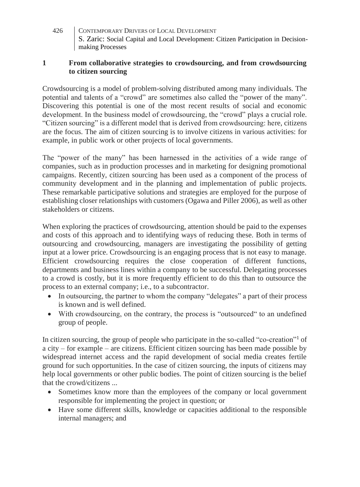### **1 From collaborative strategies to crowdsourcing, and from crowdsourcing to citizen sourcing**

Crowdsourcing is a model of problem-solving distributed among many individuals. The potential and talents of a "crowd" are sometimes also called the "power of the many". Discovering this potential is one of the most recent results of social and economic development. In the business model of crowdsourcing, the "crowd" plays a crucial role. "Citizen sourcing" is a different model that is derived from crowdsourcing: here, citizens are the focus. The aim of citizen sourcing is to involve citizens in various activities: for example, in public work or other projects of local governments.

The "power of the many" has been harnessed in the activities of a wide range of companies, such as in production processes and in marketing for designing promotional campaigns. Recently, citizen sourcing has been used as a component of the process of community development and in the planning and implementation of public projects. These remarkable participative solutions and strategies are employed for the purpose of establishing closer relationships with customers (Ogawa and Piller 2006), as well as other stakeholders or citizens.

When exploring the practices of crowdsourcing, attention should be paid to the expenses and costs of this approach and to identifying ways of reducing these. Both in terms of outsourcing and crowdsourcing, managers are investigating the possibility of getting input at a lower price. Crowdsourcing is an engaging process that is not easy to manage. Efficient crowdsourcing requires the close cooperation of different functions, departments and business lines within a company to be successful. Delegating processes to a crowd is costly, but it is more frequently efficient to do this than to outsource the process to an external company; i.e., to a subcontractor.

- In outsourcing, the partner to whom the company "delegates" a part of their process is known and is well defined.
- With crowdsourcing, on the contrary, the process is "outsourced" to an undefined group of people.

In citizen sourcing, the group of people who participate in the so-called "co-creation"<sup>1</sup> of a city – for example – are citizens. Efficient citizen sourcing has been made possible by widespread internet access and the rapid development of social media creates fertile ground for such opportunities. In the case of citizen sourcing, the inputs of citizens may help local governments or other public bodies. The point of citizen sourcing is the belief that the crowd/citizens ...

- Sometimes know more than the employees of the company or local government responsible for implementing the project in question; or
- Have some different skills, knowledge or capacities additional to the responsible internal managers; and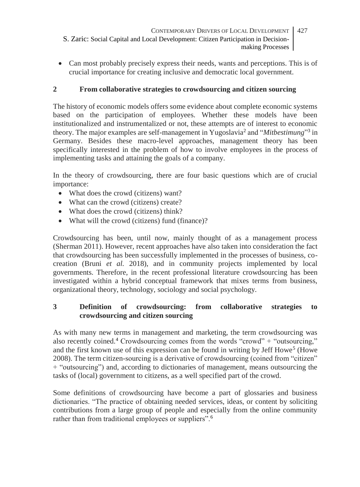- CONTEMPORARY DRIVERS OF LOCAL DEVELOPMENT S. Zaric: Social Capital and Local Development: Citizen Participation in Decisionmaking Processes 427
- Can most probably precisely express their needs, wants and perceptions. This is of crucial importance for creating inclusive and democratic local government.

### **2 From collaborative strategies to crowdsourcing and citizen sourcing**

The history of economic models offers some evidence about complete economic systems based on the participation of employees. Whether these models have been institutionalized and instrumentalized or not, these attempts are of interest to economic theory. The major examples are self-management in Yugoslavia<sup>2</sup> and "*Mitbestimung*"<sup>3</sup> in Germany. Besides these macro-level approaches, management theory has been specifically interested in the problem of how to involve employees in the process of implementing tasks and attaining the goals of a company.

In the theory of crowdsourcing, there are four basic questions which are of crucial importance:

- What does the crowd (citizens) want?
- What can the crowd (citizens) create?
- What does the crowd (citizens) think?
- What will the crowd (citizens) fund (finance)?

Crowdsourcing has been, until now, mainly thought of as a management process (Sherman 2011). However, recent approaches have also taken into consideration the fact that crowdsourcing has been successfully implemented in the processes of business, cocreation (Bruni *et al.* 2018), and in community projects implemented by local governments. Therefore, in the recent professional literature crowdsourcing has been investigated within a hybrid conceptual framework that mixes terms from business, organizational theory, technology, sociology and social psychology.

### **3 Definition of crowdsourcing: from collaborative strategies to crowdsourcing and citizen sourcing**

As with many new terms in management and marketing, the term crowdsourcing was also recently coined.<sup>4</sup> Crowdsourcing comes from the words "crowd" + "outsourcing," and the first known use of this expression can be found in writing by Jeff Howe<sup>5</sup> (Howe 2008). The term citizen-sourcing is a derivative of crowdsourcing (coined from "citizen" + "outsourcing") and, according to dictionaries of management, means outsourcing the tasks of (local) government to citizens, as a well specified part of the crowd.

Some definitions of crowdsourcing have become a part of glossaries and business dictionaries. "The practice of obtaining needed services, ideas, or content by soliciting contributions from a large group of people and especially from the online community rather than from traditional employees or suppliers".<sup>6</sup>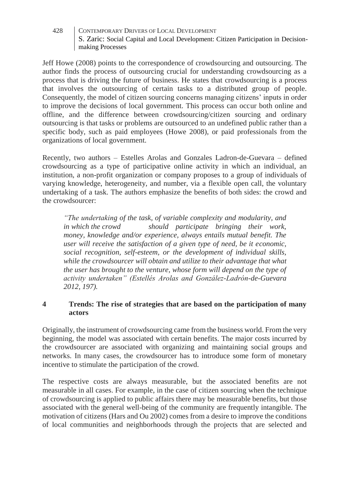Jeff Howe (2008) points to the correspondence of crowdsourcing and outsourcing. The author finds the process of outsourcing crucial for understanding crowdsourcing as a process that is driving the future of business. He states that crowdsourcing is a process that involves the [outsourcing](http://en.wikipedia.org/wiki/Outsourcing) of certain tasks to a distributed group of people. Consequently, the model of citizen sourcing concerns managing citizens' inputs in order to improve the decisions of local government. This process can occur both online and offline, and the difference between crowdsourcing/citizen sourcing and ordinary outsourcing is that tasks or problems are outsourced to an undefined public rather than a specific body, such as paid employees (Howe 2008), or paid professionals from the organizations of local government.

Recently, two authors – Estelles Arolas and Gonzales Ladron-de-Guevara – defined crowdsourcing as a type of participative online activity in which an individual, an institution, a non-profit organization or company proposes to a group of individuals of varying knowledge, heterogeneity, and number, via a flexible open call, the voluntary undertaking of a task. The authors emphasize the benefits of both sides: the crowd and the crowdsourcer:

*"The undertaking of the task, of variable complexity and modularity, and in which the crowd should participate bringing their work, money, knowledge and/or experience, always entails mutual benefit. The user will receive the satisfaction of a given type of need, be it economic, social recognition, self-esteem, or the development of individual skills, while the crowdsourcer will obtain and utilize to their advantage that what the user has brought to the venture, whose form will depend on the type of activity undertaken" (Estellés Arolas and González-Ladrón-de-Guevara 2012, 197).*

### **4 Trends: The rise of strategies that are based on the participation of many actors**

Originally, the instrument of crowdsourcing came from the business world. From the very beginning, the model was associated with certain benefits. The major costs incurred by the crowdsourcer are associated with organizing and maintaining social groups and networks. In many cases, the crowdsourcer has to introduce some form of monetary incentive to stimulate the participation of the crowd.

The respective costs are always measurable, but the associated benefits are not measurable in all cases. For example, in the case of citizen sourcing when the technique of crowdsourcing is applied to public affairs there may be measurable benefits, but those associated with the general well-being of the community are frequently intangible. The motivation of citizens (Hars and Ou 2002) comes from a desire to improve the conditions of local communities and neighborhoods through the projects that are selected and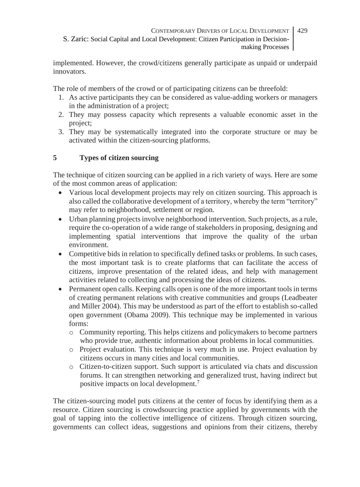implemented. However, the crowd/citizens generally participate as unpaid or underpaid innovators.

The role of members of the crowd or of participating citizens can be threefold:

- 1. As active participants they can be considered as value-adding workers or managers in the administration of a project;
- 2. They may possess capacity which represents a valuable economic asset in the project;
- 3. They may be systematically integrated into the corporate structure or may be activated within the citizen-sourcing platforms.

# **5 Types of citizen sourcing**

The technique of citizen sourcing can be applied in a rich variety of ways. Here are some of the most common areas of application:

- Various local development projects may rely on citizen sourcing. This approach is also called the collaborative development of a territory, whereby the term "territory" may refer to neighborhood, settlement or region.
- Urban planning projects involve neighborhood intervention. Such projects, as a rule, require the co-operation of a wide range of stakeholders in proposing, designing and implementing spatial interventions that improve the quality of the urban environment.
- Competitive bids in relation to specifically defined tasks or problems. In such cases, the most important task is to create platforms that can facilitate the access of citizens, improve presentation of the related ideas, and help with management activities related to collecting and processing the ideas of citizens.
- Permanent open calls. Keeping calls open is one of the more important tools in terms of creating permanent relations with creative communities and groups (Leadbeater and Miller 2004). This may be understood as part of the effort to establish so-called open government (Obama 2009). This technique may be implemented in various forms:
	- o Community reporting. This helps citizens and policymakers to become partners who provide true, authentic information about problems in local communities.
	- o Project evaluation. This technique is very much in use. Project evaluation by citizens occurs in many cities and local communities.
	- o Citizen-to-citizen support. Such support is articulated via chats and discussion forums. It can strengthen networking and generalized trust, having indirect but positive impacts on local development.<sup>7</sup>

The citizen-sourcing model puts citizens at the center of focus by identifying them as a resource. Citizen sourcing is crowdsourcing practice applied by governments with the goal of tapping into the collective intelligence of citizens. Through citizen sourcing, governments can collect ideas, suggestions and opinions from their citizens, thereby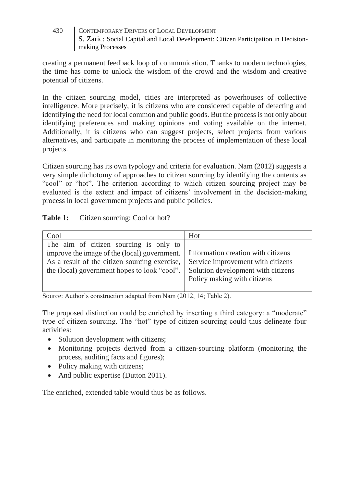creating a permanent feedback loop of communication. Thanks to modern technologies, the time has come to unlock the wisdom of the crowd and the wisdom and creative potential of citizens.

In the citizen sourcing model, cities are interpreted as powerhouses of collective intelligence. More precisely, it is citizens who are considered capable of detecting and identifying the need for local common and public goods. But the process is not only about identifying preferences and making opinions and voting available on the internet. Additionally, it is citizens who can suggest projects, select projects from various alternatives, and participate in monitoring the process of implementation of these local projects.

Citizen sourcing has its own typology and criteria for evaluation. Nam (2012) suggests a very simple dichotomy of approaches to citizen sourcing by identifying the contents as "cool" or "hot". The criterion according to which citizen sourcing project may be evaluated is the extent and impact of citizens' involvement in the decision-making process in local government projects and public policies.

# Table 1: Citizen sourcing: Cool or hot?

| Cool                                                                                                                                                                                                                                                          | Hot                               |
|---------------------------------------------------------------------------------------------------------------------------------------------------------------------------------------------------------------------------------------------------------------|-----------------------------------|
| The aim of citizen sourcing is only to<br>improve the image of the (local) government. Information creation with citizens<br>As a result of the citizen sourcing exercise,<br>the (local) government hopes to look "cool". Solution development with citizens | Service improvement with citizens |
|                                                                                                                                                                                                                                                               | Policy making with citizens       |

Source: Author's construction adapted from Nam (2012, 14; Table 2).

The proposed distinction could be enriched by inserting a third category: a "moderate" type of citizen sourcing. The "hot" type of citizen sourcing could thus delineate four activities:

- Solution development with citizens;
- Monitoring projects derived from a citizen-sourcing platform (monitoring the process, auditing facts and figures);
- Policy making with citizens;
- And public expertise (Dutton 2011).

The enriched, extended table would thus be as follows.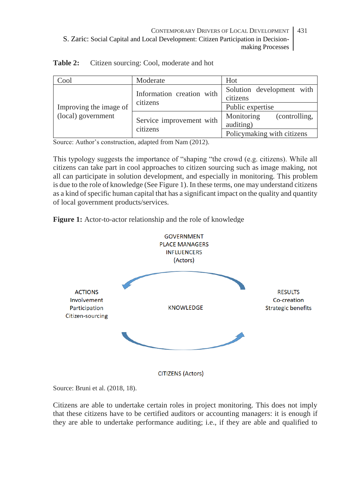| Cool                                         | Moderate                             | Hot                         |  |
|----------------------------------------------|--------------------------------------|-----------------------------|--|
| Improving the image of<br>(local) government | Information creation with            | Solution development with   |  |
|                                              | citizens                             | citizens                    |  |
|                                              |                                      | Public expertise            |  |
|                                              | Service improvement with<br>citizens | Monitoring<br>(controlling, |  |
|                                              |                                      | auditing)                   |  |
|                                              |                                      | Policymaking with citizens  |  |

**Table 2:** Citizen sourcing: Cool, moderate and hot

Source: Author's construction, adapted from Nam (2012).

This typology suggests the importance of "shaping "the crowd (e.g. citizens). While all citizens can take part in cool approaches to citizen sourcing such as image making, not all can participate in solution development, and especially in monitoring. This problem is due to the role of knowledge (See Figure 1). In these terms, one may understand citizens as a kind of specific human capital that has a significant impact on the quality and quantity of local government products/services.





Source: Bruni et al. (2018, 18).

Citizens are able to undertake certain roles in project monitoring. This does not imply that these citizens have to be certified auditors or accounting managers: it is enough if they are able to undertake performance auditing; i.e., if they are able and qualified to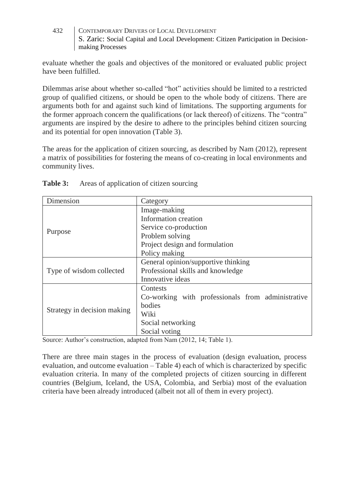evaluate whether the goals and objectives of the monitored or evaluated public project have been fulfilled.

Dilemmas arise about whether so-called "hot" activities should be limited to a restricted group of qualified citizens, or should be open to the whole body of citizens. There are arguments both for and against such kind of limitations. The supporting arguments for the former approach concern the qualifications (or lack thereof) of citizens. The "contra" arguments are inspired by the desire to adhere to the principles behind citizen sourcing and its potential for open innovation (Table 3).

The areas for the application of citizen sourcing, as described by Nam (2012), represent a matrix of possibilities for fostering the means of co-creating in local environments and community lives.

| Dimension                   | Category                                          |  |
|-----------------------------|---------------------------------------------------|--|
| Purpose                     | Image-making                                      |  |
|                             | Information creation                              |  |
|                             | Service co-production                             |  |
|                             | Problem solving                                   |  |
|                             | Project design and formulation                    |  |
|                             | Policy making                                     |  |
| Type of wisdom collected    | General opinion/supportive thinking               |  |
|                             | Professional skills and knowledge                 |  |
|                             | Innovative ideas                                  |  |
| Strategy in decision making | Contests                                          |  |
|                             | Co-working with professionals from administrative |  |
|                             | bodies                                            |  |
|                             | Wiki                                              |  |
|                             | Social networking                                 |  |
|                             | Social voting                                     |  |

| Table 3: |  |  |  | Areas of application of citizen sourcing |  |
|----------|--|--|--|------------------------------------------|--|
|----------|--|--|--|------------------------------------------|--|

Source: Author's construction, adapted from Nam (2012, 14; Table 1).

There are three main stages in the process of evaluation (design evaluation, process evaluation, and outcome evaluation – Table 4) each of which is characterized by specific evaluation criteria. In many of the completed projects of citizen sourcing in different countries (Belgium, Iceland, the USA, Colombia, and Serbia) most of the evaluation criteria have been already introduced (albeit not all of them in every project).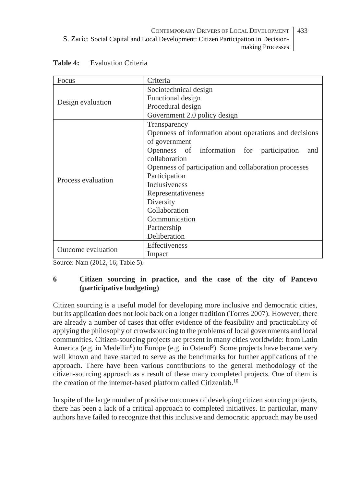| Focus              | Criteria                                               |  |  |
|--------------------|--------------------------------------------------------|--|--|
| Design evaluation  | Sociotechnical design                                  |  |  |
|                    | Functional design                                      |  |  |
|                    | Procedural design                                      |  |  |
|                    | Government 2.0 policy design                           |  |  |
|                    | Transparency                                           |  |  |
|                    | Openness of information about operations and decisions |  |  |
| Process evaluation | of government                                          |  |  |
|                    | Openness of information for participation<br>and       |  |  |
|                    | collaboration                                          |  |  |
|                    | Openness of participation and collaboration processes  |  |  |
|                    | Participation                                          |  |  |
|                    | <b>Inclusiveness</b>                                   |  |  |
|                    | Representativeness                                     |  |  |
|                    | Diversity                                              |  |  |
|                    | Collaboration                                          |  |  |
|                    | Communication                                          |  |  |
|                    | Partnership                                            |  |  |
|                    | Deliberation                                           |  |  |
| Outcome evaluation | Effectiveness                                          |  |  |
|                    | Impact                                                 |  |  |

Source: Nam (2012, 16; Table 5).

### **6 Citizen sourcing in practice, and the case of the city of Pancevo (participative budgeting)**

Citizen sourcing is a useful model for developing more inclusive and democratic cities, but its application does not look back on a longer tradition (Torres 2007). However, there are already a number of cases that offer evidence of the feasibility and practicability of applying the philosophy of crowdsourcing to the problems of local governments and local communities. Citizen-sourcing projects are present in many cities worldwide: from Latin America (e.g. in Medellin<sup>8</sup>) to Europe (e.g. in Ostend<sup>9</sup>). Some projects have became very well known and have started to serve as the benchmarks for further applications of the approach. There have been various contributions to the general methodology of the citizen-sourcing approach as a result of these many completed projects. One of them is the creation of the internet-based platform called Citizenlab*.* 10

In spite of the large number of positive outcomes of developing citizen sourcing projects, there has been a lack of a critical approach to completed initiatives. In particular, many authors have failed to recognize that this inclusive and democratic approach may be used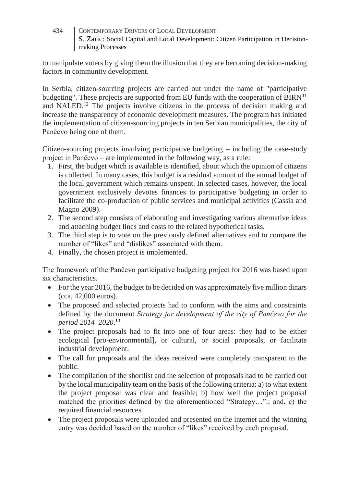to manipulate voters by giving them the illusion that they are becoming decision-making factors in community development.

In Serbia, citizen-sourcing projects are carried out under the name of "participative budgeting". These projects are supported from EU funds with the cooperation of  $BIRN<sup>11</sup>$ and NALED.<sup>12</sup> The projects involve citizens in the process of decision making and increase the transparency of economic development measures. The program has initiated the implementation of citizen-sourcing projects in ten Serbian municipalities, the city of Pančevo being one of them.

Citizen-sourcing projects involving participative budgeting – including the case-study project in Pančevo – are implemented in the following way, as a rule:

- 1. First, the budget which is available is identified, about which the opinion of citizens is collected. In many cases, this budget is a residual amount of the annual budget of the local government which remains unspent. In selected cases, however, the local government exclusively devotes finances to participative budgeting in order to facilitate the co-production of public services and municipal activities (Cassia and Magno 2009).
- 2. The second step consists of elaborating and investigating various alternative ideas and attaching budget lines and costs to the related hypothetical tasks.
- 3. The third step is to vote on the previously defined alternatives and to compare the number of "likes" and "dislikes" associated with them.
- 4. Finally, the chosen project is implemented.

The framework of the Pančevo participative budgeting project for 2016 was based upon six characteristics.

- For the year 2016, the budget to be decided on was approximately five million dinars (cca, 42,000 euros).
- The proposed and selected projects had to conform with the aims and constraints defined by the document *Strategy for development of the city of Pančevo for the period 2014–2020*. 13
- The project proposals had to fit into one of four areas: they had to be either ecological [pro-environmental], or cultural, or social proposals, or facilitate industrial development.
- The call for proposals and the ideas received were completely transparent to the public.
- The compilation of the shortlist and the selection of proposals had to be carried out by the local municipality team on the basis of the following criteria: a) to what extent the project proposal was clear and feasible; b) how well the project proposal matched the priorities defined by the aforementioned "Strategy…".; and, c) the required financial resources.
- The project proposals were uploaded and presented on the internet and the winning entry was decided based on the number of "likes" received by each proposal.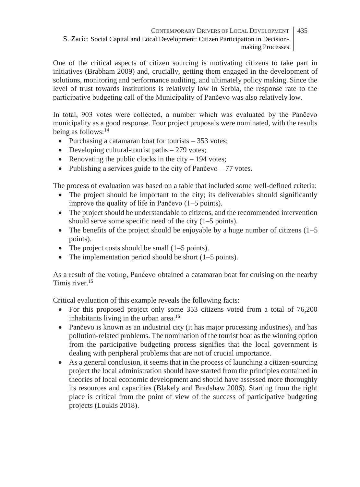One of the critical aspects of citizen sourcing is motivating citizens to take part in initiatives (Brabham 2009) and, crucially, getting them engaged in the development of solutions, monitoring and performance auditing, and ultimately policy making. Since the level of trust towards institutions is relatively low in Serbia, the response rate to the participative budgeting call of the Municipality of Pančevo was also relatively low.

In total, 903 votes were collected, a number which was evaluated by the Pančevo municipality as a good response. Four project proposals were nominated, with the results being as follows:<sup>14</sup>

- Purchasing a catamaran boat for tourists 353 votes;
- Developing cultural-tourist paths  $-279$  votes;
- Renovating the public clocks in the city  $-194$  votes;
- Publishing a services guide to the city of Pančevo  $-77$  votes.

The process of evaluation was based on a table that included some well-defined criteria:

- The project should be important to the city; its deliverables should significantly improve the quality of life in Pančevo (1–5 points).
- The project should be understandable to citizens, and the recommended intervention should serve some specific need of the city (1–5 points).
- The benefits of the project should be enjoyable by a huge number of citizens  $(1–5)$ points).
- The project costs should be small  $(1–5 \text{ points})$ .
- The implementation period should be short  $(1–5 \text{ points})$ .

As a result of the voting, Pančevo obtained a catamaran boat for cruising on the nearby Timiș river.<sup>15</sup>

Critical evaluation of this example reveals the following facts:

- For this proposed project only some 353 citizens voted from a total of 76,200 inhabitants living in the urban area.<sup>16</sup>
- Pančevo is known as an industrial city (it has major processing industries), and has pollution-related problems. The nomination of the tourist boat as the winning option from the participative budgeting process signifies that the local government is dealing with peripheral problems that are not of crucial importance.
- As a general conclusion, it seems that in the process of launching a citizen-sourcing project the local administration should have started from the principles contained in theories of local economic development and should have assessed more thoroughly its resources and capacities (Blakely and Bradshaw 2006). Starting from the right place is critical from the point of view of the success of participative budgeting projects (Loukis 2018).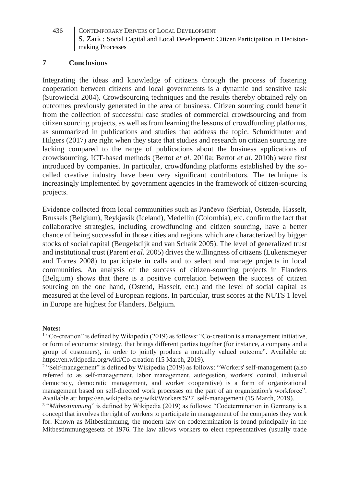#### **7 Conclusions**

Integrating the ideas and knowledge of citizens through the process of fostering cooperation between citizens and local governments is a dynamic and sensitive task (Surowiecki 2004). Crowdsourcing techniques and the results thereby obtained rely on outcomes previously generated in the area of business. Citizen sourcing could benefit from the collection of successful case studies of commercial crowdsourcing and from citizen sourcing projects, as well as from learning the lessons of crowdfunding platforms, as summarized in publications and studies that address the topic. Schmidthuter and Hilgers (2017) are right when they state that studies and research on citizen sourcing are lacking compared to the range of publications about the business applications of crowdsourcing. ICT-based methods (Bertot *et al.* 2010a; Bertot *et al.* 2010b) were first introduced by companies. In particular, crowdfunding platforms established by the socalled creative industry have been very significant contributors. The technique is increasingly implemented by government agencies in the framework of citizen-sourcing projects.

Evidence collected from local communities such as Pančevo (Serbia), Ostende, Hasselt, Brussels (Belgium), Reykjavik (Iceland), Medellin (Colombia), etc. confirm the fact that collaborative strategies, including crowdfunding and citizen sourcing, have a better chance of being successful in those cities and regions which are characterized by bigger stocks of social capital (Beugelsdijk and van Schaik 2005). The level of generalized trust and institutional trust (Parent *et al.* 2005) drives the willingness of citizens (Lukensmeyer and Torres 2008) to participate in calls and to select and manage projects in local communities. An analysis of the success of citizen-sourcing projects in Flanders (Belgium) shows that there is a positive correlation between the success of citizen sourcing on the one hand, (Ostend, Hasselt, etc.) and the level of social capital as measured at the level of European regions. In particular, trust scores at the NUTS 1 level in Europe are highest for Flanders, Belgium.

#### **Notes:**

<sup>1</sup> "Co-creation" is defined by Wikipedia (2019) as follows: "Co-creation is a management initiative, or form of economic strategy, that brings different parties together (for instance, a company and a group of customers), in order to jointly produce a mutually valued outcome". Available at: https://en.wikipedia.org/wiki/Co-creation (15 March, 2019).

<sup>2</sup> "Self-management" is defined by Wikipedia (2019) as follows: "Workers' self-management (also referred to as self-management, labor management, autogestión, workers' control, industrial democracy, democratic management, and worker cooperative) is a form of organizational management based on self-directed work processes on the part of an organization's workforce". Available at: https://en.wikipedia.org/wiki/Workers%27\_self-management (15 March, 2019).

3 "*Mitbestimmung*" is defined by Wikipedia (2019) as follows: "Codetermination in Germany is a concept that involves the right of workers to participate in management of the companies they work for. Known as Mitbestimmung, the modern law on codetermination is found principally in the Mitbestimmungsgesetz of 1976. The law allows workers to elect representatives (usually trade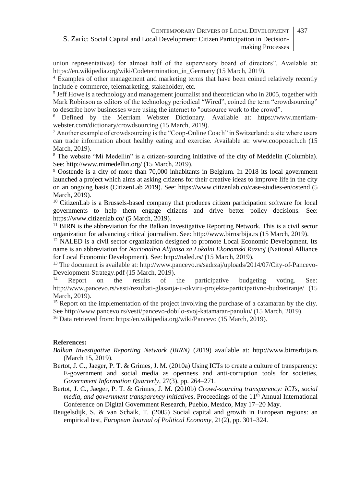- union representatives) for almost half of the supervisory board of directors". Available at: https://en.wikipedia.org/wiki/Codetermination\_in\_Germany (15 March, 2019).

<sup>4</sup> Examples of other management and marketing terms that have been coined relatively recently include e-commerce, telemarketing, stakeholder, etc.

5 Jeff Howe is a technology and management journalist and theoretician who in 2005, together with Mark Robinson as editors of the technology periodical "Wired", coined the term "crowdsourcing" to describe how businesses were using the internet to "outsource work to the crowd".

<sup>6</sup> Defined by the Merriam Webster Dictionary. Available at: https://www.merriamwebster.com/dictionary/crowdsourcing (15 March, 2019).

<sup>7</sup> Another example of crowdsourcing is the "Coop-Online Coach" in Switzerland: a site where users can trade information about healthy eating and exercise. Available at: www.coopcoach.ch (15 March, 2019).

<sup>8</sup> The website "Mi Medellin" is a citizen-sourcing initiative of the city of Meddelin (Columbia). See: http://www.mimedellin.org/ (15 March, 2019).

<sup>9</sup> Oostende is a city of more than 70,000 inhabitants in Belgium. In 2018 its local government launched a project which aims at asking citizens for their creative ideas to improve life in the city on an ongoing basis (CitizenLab 2019). See: https://www.citizenlab.co/case-studies-en/ostend (5 March, 2019).

<sup>10</sup> CitizenLab is a Brussels-based company that produces citizen participation software for local governments to help them engage citizens and drive better policy decisions. See: https://www.citizenlab.co/ (5 March, 2019).

 $11$  BIRN is the abbreviation for the Balkan Investigative Reporting Network. This is a civil sector organization for advancing critical journalism. See: [http://www.birnsrbija.rs](http://www.birnsrbija.rs/) (15 March, 2019).

 $12$  NALED is a civil sector organization designed to promote Local Economic Development. Its name is an abbreviation for *Nacionalna Alijansa za Lokalni Ekonomski Razvoj* (National Alliance for Local Economic Development). See: http://naled.rs/ (15 March, 2019).

<sup>13</sup> The document is available at: http://www.pancevo.rs/sadrzaj/uploads/2014/07/City-of-Pancevo-Development-Strategy.pdf (15 March, 2019).

Report on the results of the participative budgeting voting. See: <http://www.pancevo.rs/vesti/rezultati-glasanja-u-okviru-projekta-participativno-budzetiranje/> (15 March, 2019).

<sup>15</sup> Report on the implementation of the project involving the purchase of a catamaran by the city. See<http://www.pancevo.rs/vesti/pancevo-dobilo-svoj-katamaran-panuku/> (15 March, 2019).

<sup>16</sup> Data retrieved from: https:/en.wikipedia.org/wiki/Pancevo (15 March, 2019).

#### **References:**

- *Balkan Investigative Reporting Network (BIRN)* (2019) available at: http://www.birnsrbija.rs (March 15, 2019).
- Bertot, J. C., Jaeger, P. T. & [Grimes,](https://www.sciencedirect.com/science/article/pii/S0740624X10000201#!) J. M. (2010a) Using ICTs to create a culture of transparency: E-government and social media as openness and anti-corruption tools for societies, *Government Information Quarterly,* 27(3), pp. 264–271.
- [Bertot,](https://www.sciencedirect.com/science/article/pii/S0740624X10000201#!) J. C., [Jaeger,](https://www.sciencedirect.com/science/article/pii/S0740624X10000201#!) P. T. & [Grimes,](https://www.sciencedirect.com/science/article/pii/S0740624X10000201#!) J. M. (2010b) *Crowd-sourcing transparency: ICTs, social media, and government transparency initiatives*. Proceedings of the 11th Annual International Conference on Digital Government Research, Pueblo, Mexico, May 17–20 May.
- [Beugelsdijk,](https://www.sciencedirect.com/science/article/pii/S0176268004000886#!) S. & [van Schaik,](https://www.sciencedirect.com/science/article/pii/S0176268004000886#!) T. (2005) Social capital and growth in European regions: an empirical test, *European Journal of Political Economy,* [21\(2\)](https://www.sciencedirect.com/science/journal/01762680/21/2), pp. 301–324.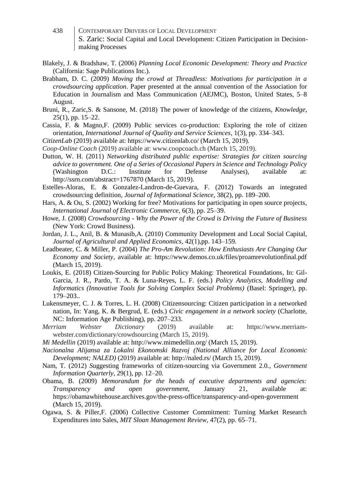- 438 CONTEMPORARY DRIVERS OF LOCAL DEVELOPMENT S. Zaric: Social Capital and Local Development: Citizen Participation in Decisionmaking Processes
- Blakely, J. & Bradshaw, T. (2006) *Planning Local Economic Development: Theory and Practice* (California: Sage Publications Inc.).
- Brabham, D. C. (2009) *Moving the crowd at Threadless: Motivations for participation in a crowdsourcing application*. Paper presented at the annual convention of the Association for Education in Journalism and Mass Communication (AEJMC), Boston, United States, 5–8 August.
- Bruni, R., Zaric,S. & Sansone, M. (2018) The power of knowledge of the citizens, *Knowledge,* 25(1), pp. 15–22.

Cassia, F. & Magno,F. (2009) Public services co-production: Exploring the role of citizen orientation, *International Journal of Quality and Service Sciences,* 1(3), pp. 334–343.

- *CitizenLab* (2019) available at: https://www.citizenlab.co/ (March 15, 2019).
- *Coop-Online Coach* (2019) available at: www.coopcoach.ch (March 15, 2019).
- Dutton, W. H. (2011) *Networking distributed public expertise: Strategies for citizen sourcing advice to government. One of a Series of Occasional Papers in Science and Technology Policy* (Washington D.C.: Institute for Defense Analyses), available at: http://ssrn.com/abstract=1767870 (March 15, 2019).
- Estelles-Aloras, E. & Gonzalez-Landron-de-Guevara, F. (2012) Towards an integrated crowdsourcing definition, *Journal of Informational Science,* 38(2), pp. 189–200.
- Hars, A. & Ou, S. (2002) Working for free? Motivations for participating in open source projects, *International Journal of Electronic Commerce,* 6(3), pp. 25–39.
- Howe, J. (2008) *Crowdsourcing - Why the Power of the Crowd is Driving the Future of Business* (New York: Crowd Business).
- Jordan, J. L., Anil, B. & Munasib,A. (2010) Community Development and Local Social Capital, *Journal of Agricultural and Applied Economics,* 42(1),pp. 143–159.
- Leadbeater, C. & Miller, P. (2004) *The Pro-Am Revolution: How Enthusiasts Are Changing Our Economy and Society,* available at: https://www.demos.co.uk/files/proamrevolutionfinal.pdf (March 15, 2019).
- Loukis, E. (2018) Citizen-Sourcing for Public Policy Making: Theoretical Foundations, In: Gil-Garcia, J. R., Pardo, T. A. & Luna-Reyes, L. F. (eds.) *Policy Analytics, Modelling and Informatics (Innovative Tools for Solving Complex Social Problems)* (Basel: Springer), pp. 179–203..
- Lukensmeyer, C. J. & Torres, L. H. (2008) Citizensourcing: Citizen participation in a networked nation*,* In: Yang, K. & Bergrud, E. (eds.) *Civic engagement in a network society* (Charlotte, NC: Information Age Publishing), pp. 207–233.
- *Merriam Webster Dictionary* (2019) available at: https://www.merriamwebster.com/dictionary/crowdsourcing (March 15, 2019).
- *Mi Medellin* (2019) available at: http://www.mimedellin.org/ (March 15, 2019).
- *Nacionalna Alijansa za Lokalni Ekonomski Razvoj (National Alliance for Local Economic Development; NALED)* (2019) available at: http://naled.rs/ (March 15, 2019).
- Nam, T. (2012) *S*uggesting frameworks of citizen-sourcing via Government 2.0*.*, *Government Information Quarterly,* 29(1), pp. 12–20.
- Obama, B. (2009) *Memorandum for the heads of executive departments and agencies: Transparency and open government,* January 21, available at: https://obamawhitehouse.archives.gov/the-press-office/transparency-and-open-government (March 15, 2019).
- Ogawa, S. & Piller,F. (2006) Collective Customer Commitment: Turning Market Research Expenditures into Sales, *MIT Sloan Management Review,* 47(2), pp. 65–71.